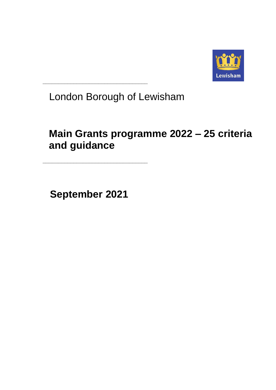

London Borough of Lewisham

# **Main Grants programme 2022 – 25 criteria and guidance**

**September 2021**

**\_\_\_\_\_\_\_\_\_\_\_\_\_\_\_\_\_\_\_\_\_\_\_\_\_\_\_\_\_\_\_\_\_\_**

**\_\_\_\_\_\_\_\_\_\_\_\_\_\_\_\_\_\_\_\_\_\_\_\_\_\_\_\_\_\_\_\_\_\_**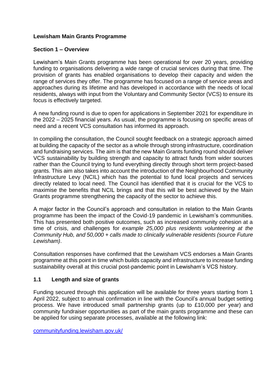# **Lewisham Main Grants Programme**

#### **Section 1 – Overview**

Lewisham's Main Grants programme has been operational for over 20 years, providing funding to organisations delivering a wide range of crucial services during that time. The provision of grants has enabled organisations to develop their capacity and widen the range of services they offer. The programme has focused on a range of service areas and approaches during its lifetime and has developed in accordance with the needs of local residents, always with input from the Voluntary and Community Sector (VCS) to ensure its focus is effectively targeted.

A new funding round is due to open for applications in September 2021 for expenditure in the 2022 – 2025 financial years. As usual, the programme is focusing on specific areas of need and a recent VCS consultation has informed its approach.

In compiling the consultation, the Council sought feedback on a strategic approach aimed at building the capacity of the sector as a whole through strong infrastructure, coordination and fundraising services. The aim is that the new Main Grants funding round should deliver VCS sustainability by building strength and capacity to attract funds from wider sources rather than the Council trying to fund everything directly through short term project-based grants. This aim also takes into account the introduction of the Neighbourhood Community Infrastructure Levy (NCIL) which has the potential to fund local projects and services directly related to local need. The Council has identified that it is crucial for the VCS to maximise the benefits that NCIL brings and that this will be best achieved by the Main Grants programme strengthening the capacity of the sector to achieve this.

A major factor in the Council's approach and consultation in relation to the Main Grants programme has been the impact of the Covid-19 pandemic in Lewisham's communities. This has presented both positive outcomes, such as increased community cohesion at a time of crisis, and challenges for *example 25,000 plus residents volunteering at the Community Hub, and 50,000 + calls made to clinically vulnerable residents (source Future Lewisham)*.

Consultation responses have confirmed that the Lewisham VCS endorses a Main Grants programme at this point in time which builds capacity and infrastructure to increase funding sustainability overall at this crucial post-pandemic point in Lewisham's VCS history.

# **1.1 Length and size of grants**

Funding secured through this application will be available for three years starting from 1 April 2022, subject to annual confirmation in line with the Council's annual budget setting process. We have introduced small partnership grants (up to £10,000 per year) and community fundraiser opportunities as part of the main grants programme and these can be applied for using separate processes, available at the following link:

[communityfunding.lewisham.gov.uk/](https://communityfunding.lewisham.gov.uk/)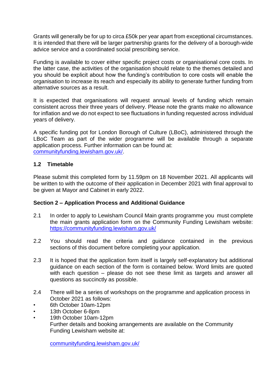Grants will generally be for up to circa £50k per year apart from exceptional circumstances. It is intended that there will be larger partnership grants for the delivery of a borough-wide advice service and a coordinated social prescribing service.

Funding is available to cover either specific project costs or organisational core costs. In the latter case, the activities of the organisation should relate to the themes detailed and you should be explicit about how the funding's contribution to core costs will enable the organisation to increase its reach and especially its ability to generate further funding from alternative sources as a result.

It is expected that organisations will request annual levels of funding which remain consistent across their three years of delivery. Please note the grants make no allowance for inflation and we do not expect to see fluctuations in funding requested across individual years of delivery.

A specific funding pot for London Borough of Culture (LBoC), administered through the LBoC Team as part of the wider programme will be available through a separate application process. Further information can be found at: [communityfunding.lewisham.gov.uk/.](https://communityfunding.lewisham.gov.uk/)

# **1.2 Timetable**

Please submit this completed form by 11.59pm on 18 November 2021. All applicants will be written to with the outcome of their application in December 2021 with final approval to be given at Mayor and Cabinet in early 2022.

#### **Section 2 – Application Process and Additional Guidance**

- 2.1 In order to apply to Lewisham Council Main grants programme you must complete the main grants application form on the Community Funding Lewisham website: <https://communityfunding.lewisham.gov.uk/>
- 2.2 You should read the criteria and guidance contained in the previous sections of this document before completing your application.
- 2.3 It is hoped that the application form itself is largely self-explanatory but additional guidance on each section of the form is contained below. Word limits are quoted with each question – please do not see these limit as targets and answer all questions as succinctly as possible.
- 2.4 There will be a series of workshops on the programme and application process in October 2021 as follows:
- 6th October 10am-12pm
- 13th October 6-8pm
- 19th October 10am-12pm Further details and booking arrangements are available on the Community Funding Lewisham website at:

[communityfunding.lewisham.gov.uk/](https://communityfunding.lewisham.gov.uk/)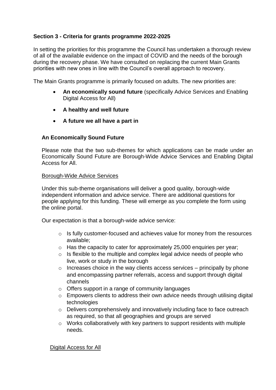# **Section 3 - Criteria for grants programme 2022-2025**

In setting the priorities for this programme the Council has undertaken a thorough review of all of the available evidence on the impact of COVID and the needs of the borough during the recovery phase. We have consulted on replacing the current Main Grants priorities with new ones in line with the Council's overall approach to recovery.

The Main Grants programme is primarily focused on adults. The new priorities are:

- **An economically sound future** (specifically Advice Services and Enabling Digital Access for All)
- **A healthy and well future**
- **A future we all have a part in**

# **An Economically Sound Future**

Please note that the two sub-themes for which applications can be made under an Economically Sound Future are Borough-Wide Advice Services and Enabling Digital Access for All.

#### Borough-Wide Advice Services

Under this sub-theme organisations will deliver a good quality, borough-wide independent information and advice service. There are additional questions for people applying for this funding. These will emerge as you complete the form using the online portal.

Our expectation is that a borough-wide advice service:

- o Is fully customer-focused and achieves value for money from the resources available;
- o Has the capacity to cater for approximately 25,000 enquiries per year;
- o Is flexible to the multiple and complex legal advice needs of people who live, work or study in the borough
- $\circ$  Increases choice in the way clients access services principally by phone and encompassing partner referrals, access and support through digital channels
- o Offers support in a range of community languages
- o Empowers clients to address their own advice needs through utilising digital technologies
- o Delivers comprehensively and innovatively including face to face outreach as required, so that all geographies and groups are served
- o Works collaboratively with key partners to support residents with multiple needs.

Digital Access for All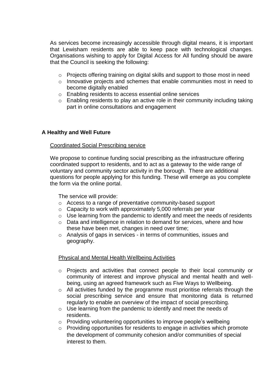As services become increasingly accessible through digital means, it is important that Lewisham residents are able to keep pace with technological changes. Organisations wishing to apply for Digital Access for All funding should be aware that the Council is seeking the following:

- o Projects offering training on digital skills and support to those most in need
- o Innovative projects and schemes that enable communities most in need to become digitally enabled
- o Enabling residents to access essential online services
- $\circ$  Enabling residents to play an active role in their community including taking part in online consultations and engagement

# **A Healthy and Well Future**

#### Coordinated Social Prescribing service

We propose to continue funding social prescribing as the infrastructure offering coordinated support to residents, and to act as a gateway to the wide range of voluntary and community sector activity in the borough. There are additional questions for people applying for this funding. These will emerge as you complete the form via the online portal.

The service will provide:

- o Access to a range of preventative community-based support
- $\circ$  Capacity to work with approximately 5,000 referrals per year
- $\circ$  Use learning from the pandemic to identify and meet the needs of residents
- o Data and intelligence in relation to demand for services, where and how these have been met, changes in need over time;
- o Analysis of gaps in services in terms of communities, issues and geography.

#### Physical and Mental Health Wellbeing Activities

- o Projects and activities that connect people to their local community or community of interest and improve physical and mental health and wellbeing, using an agreed framework such as Five Ways to Wellbeing.
- o All activities funded by the programme must prioritise referrals through the social prescribing service and ensure that monitoring data is returned regularly to enable an overview of the impact of social prescribing.
- o Use learning from the pandemic to identify and meet the needs of residents.
- o Providing volunteering opportunities to improve people's wellbeing
- o Providing opportunities for residents to engage in activities which promote the development of community cohesion and/or communities of special interest to them.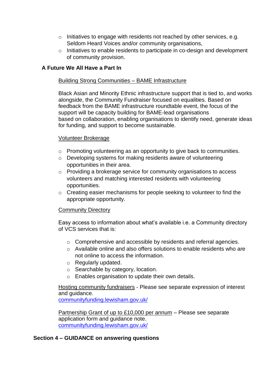- o Initiatives to engage with residents not reached by other services, e.g. Seldom Heard Voices and/or community organisations,
- o Initiatives to enable residents to participate in co-design and development of community provision.

# **A Future We All Have a Part In**

#### Building Strong Communities – BAME Infrastructure

Black Asian and Minority Ethnic infrastructure support that is tied to, and works alongside, the Community Fundraiser focused on equalities. Based on feedback from the BAME infrastructure roundtable event, the focus of the support will be capacity building for BAME-lead organisations based on collaboration, enabling organisations to identify need, generate ideas for funding, and support to become sustainable.

#### Volunteer Brokerage

- o Promoting volunteering as an opportunity to give back to communities.
- o Developing systems for making residents aware of volunteering opportunities in their area.
- o Providing a brokerage service for community organisations to access volunteers and matching interested residents with volunteering opportunities.
- o Creating easier mechanisms for people seeking to volunteer to find the appropriate opportunity.

#### Community Directory

Easy access to information about what's available i.e. a Community directory of VCS services that is:

- o Comprehensive and accessible by residents and referral agencies.
- $\circ$  Available online and also offers solutions to enable residents who are not online to access the information.
- o Regularly updated.
- o Searchable by category, location.
- o Enables organisation to update their own details.

Hosting community fundraisers - Please see separate expression of interest and guidance.

[communityfunding.lewisham.gov.uk/](https://communityfunding.lewisham.gov.uk/)

Partnership Grant of up to £10,000 per annum – Please see separate application form and guidance note. [communityfunding.lewisham.gov.uk/](https://communityfunding.lewisham.gov.uk/)

#### **Section 4 – GUIDANCE on answering questions**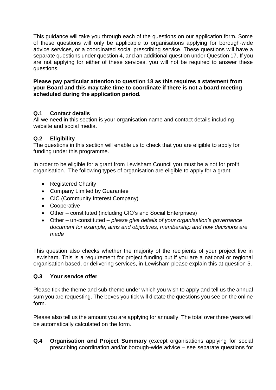This guidance will take you through each of the questions on our application form. Some of these questions will only be applicable to organisations applying for borough-wide advice services, or a coordinated social prescribing service. These questions will have a separate questions under question 4, and an additional question under Question 17. If you are not applying for either of these services, you will not be required to answer these questions.

#### **Please pay particular attention to question 18 as this requires a statement from your Board and this may take time to coordinate if there is not a board meeting scheduled during the application period.**

# **Q.1 Contact details**

All we need in this section is your organisation name and contact details including website and social media.

# **Q.2 Eligibility**

The questions in this section will enable us to check that you are eligible to apply for funding under this programme.

In order to be eligible for a grant from Lewisham Council you must be a not for profit organisation. The following types of organisation are eligible to apply for a grant:

- Registered Charity
- Company Limited by Guarantee
- CIC (Community Interest Company)
- Cooperative
- Other constituted (including CIO's and Social Enterprises)
- Other un-constituted *please give details of your organisation's governance document for example, aims and objectives, membership and how decisions are made*

This question also checks whether the majority of the recipients of your project live in Lewisham. This is a requirement for project funding but if you are a national or regional organisation based, or delivering services, in Lewisham please explain this at question 5.

#### **Q.3 Your service offer**

Please tick the theme and sub-theme under which you wish to apply and tell us the annual sum you are requesting. The boxes you tick will dictate the questions you see on the online form.

Please also tell us the amount you are applying for annually. The total over three years will be automatically calculated on the form.

**Q.4 Organisation and Project Summary** (except organisations applying for social prescribing coordination and/or borough-wide advice – see separate questions for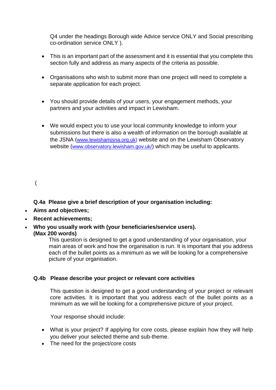Q4 under the headings Borough wide Advice service ONLY and Social prescribing co-ordination service ONLY ).

- This is an important part of the assessment and it is essential that you complete this section fully and address as many aspects of the criteria as possible.
- Organisations who wish to submit more than one project will need to complete a separate application for each project.
- You should provide details of your users, your engagement methods, your partners and your activities and impact in Lewisham.
- We would expect you to use your local community knowledge to inform your submissions but there is also a wealth of information on the borough available at the JSNA ([www.lewishamjsna.org.uk\)](http://www.lewishamjsna.org.uk/) website and on the Lewisham Observatory website (www.observatory.lewisham.gov.uk) which may be useful to applicants.

# (

**Q.4a Please give a brief description of your organisation including:**

- **Aims and objectives;**
- **Recent achievements;**
- **Who you usually work with (your beneficiaries/service users).**

**(Max 200 words)**

 This question is designed to get a good understanding of your organisation, your main areas of work and how the organisation is run. It is important that you address each of the bullet points as a minimum as we will be looking for a comprehensive picture of your organisation.

# **Q.4b Please describe your project or relevant core activities**

This question is designed to get a good understanding of your project or relevant core activities. It is important that you address each of the bullet points as a minimum as we will be looking for a comprehensive picture of your project.

Your response should include:

- What is your project? If applying for core costs, please explain how they will help you deliver your selected theme and sub-theme.
- The need for the project/core costs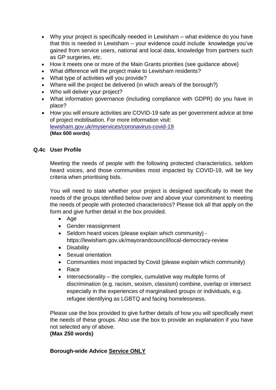- Why your project is specifically needed in Lewisham what evidence do you have that this is needed in Lewisham – your evidence could include knowledge you've gained from service users, national and local data, knowledge from partners such as GP surgeries, etc.
- How it meets one or more of the Main Grants priorities (see quidance above)
- What difference will the project make to Lewisham residents?
- What type of activities will you provide?
- Where will the project be delivered (in which area/s of the borough?)
- Who will deliver your project?
- What information governance (including compliance with GDPR) do you have in place?
- How you will ensure activities are COVID-19 safe as per government advice at time of project mobilisation. For more information visit: [lewisham.gov.uk/myservices/coronavirus-covid-19](https://lewisham.gov.uk/myservices/coronavirus-covid-19) **(Max 600 words)**

# **Q.4c User Profile**

Meeting the needs of people with the following protected characteristics, seldom heard voices, and those communities most impacted by COVID-19, will be key criteria when prioritising bids.

You will need to state whether your project is designed specifically to meet the needs of the groups identified below over and above your commitment to meeting the needs of people with protected characteristics? Please tick all that apply on the form and give further detail in the box provided.

- Age
- Gender reassignment
- Seldom heard voices (please explain which community) https://lewisham.gov.uk/mayorandcouncil/local-democracy-review
- Disability
- Sexual orientation
- Communities most impacted by Covid (please explain which community)
- Race
- $\bullet$  Intersectionality the complex, cumulative way multiple forms of discrimination (e.g. racism, sexism, classism) combine, overlap or intersect especially in the experiences of marginalised groups or individuals, e.g. refugee identifying as LGBTQ and facing homelessness.

Please use the box provided to give further details of how you will specifically meet the needs of these groups. Also use the box to provide an explanation if you have not selected any of above.

# **(Max 250 words)**

# **Borough-wide Advice Service ONLY**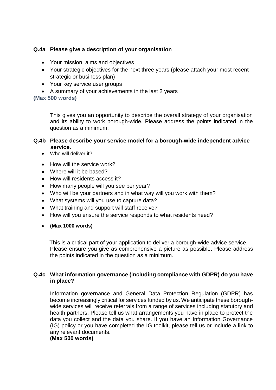# **Q.4a Please give a description of your organisation**

- Your mission, aims and objectives
- Your strategic objectives for the next three years (please attach your most recent strategic or business plan)
- Your key service user groups
- A summary of your achievements in the last 2 years

# **(Max 500 words)**

This gives you an opportunity to describe the overall strategy of your organisation and its ability to work borough-wide. Please address the points indicated in the question as a minimum.

#### **Q.4b Please describe your service model for a borough-wide independent advice service.**

- Who will deliver it?
- How will the service work?
- Where will it be based?
- How will residents access it?
- How many people will you see per year?
- Who will be your partners and in what way will you work with them?
- What systems will you use to capture data?
- What training and support will staff receive?
- How will you ensure the service responds to what residents need?
- **(Max 1000 words)**

 This is a critical part of your application to deliver a borough-wide advice service. Please ensure you give as comprehensive a picture as possible. Please address the points indicated in the question as a minimum.

#### **Q.4c What information governance (including compliance with GDPR) do you have in place?**

Information governance and General Data Protection Regulation (GDPR) has become increasingly critical for services funded by us. We anticipate these boroughwide services will receive referrals from a range of services including statutory and health partners. Please tell us what arrangements you have in place to protect the data you collect and the data you share. If you have an Information Governance (IG) policy or you have completed the IG toolkit, please tell us or include a link to any relevant documents.

#### **(Max 500 words)**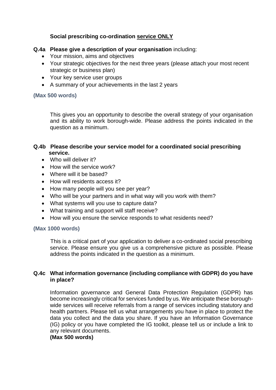# **Social prescribing co-ordination service ONLY**

# **Q.4a Please give a description of your organisation** including:

- Your mission, aims and objectives
- Your strategic objectives for the next three years (please attach your most recent strategic or business plan)
- Your key service user groups
- A summary of your achievements in the last 2 years

#### **(Max 500 words)**

This gives you an opportunity to describe the overall strategy of your organisation and its ability to work borough-wide. Please address the points indicated in the question as a minimum.

#### **Q.4b Please describe your service model for a coordinated social prescribing service.**

- Who will deliver it?
- How will the service work?
- Where will it be based?
- How will residents access it?
- How many people will you see per year?
- Who will be your partners and in what way will you work with them?
- What systems will you use to capture data?
- What training and support will staff receive?
- How will you ensure the service responds to what residents need?

#### **(Max 1000 words)**

 This is a critical part of your application to deliver a co-ordinated social prescribing service. Please ensure you give us a comprehensive picture as possible. Please address the points indicated in the question as a minimum.

# **Q.4c What information governance (including compliance with GDPR) do you have in place?**

Information governance and General Data Protection Regulation (GDPR) has become increasingly critical for services funded by us. We anticipate these boroughwide services will receive referrals from a range of services including statutory and health partners. Please tell us what arrangements you have in place to protect the data you collect and the data you share. If you have an Information Governance (IG) policy or you have completed the IG toolkit, please tell us or include a link to any relevant documents.

#### **(Max 500 words)**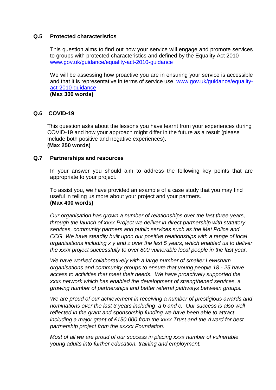#### **Q.5 Protected characteristics**

This question aims to find out how your service will engage and promote services to groups with protected characteristics and defined by the Equality Act 2010 [www.gov.uk/guidance/equality-act-2010-guidance](http://www.gov.uk/guidance/equality-act-2010-guidance)

We will be assessing how proactive you are in ensuring your service is accessible and that it is representative in terms of service use. [www.gov.uk/guidance/equality](http://www.gov.uk/guidance/equality-act-2010-guidance)[act-2010-guidance](http://www.gov.uk/guidance/equality-act-2010-guidance)

**(Max 300 words)**

#### **Q.6 COVID-19**

This question asks about the lessons you have learnt from your experiences during COVID-19 and how your approach might differ in the future as a result (please Include both positive and negative experiences). **(Max 250 words)**

#### **Q.7 Partnerships and resources**

In your answer you should aim to address the following key points that are appropriate to your project.

To assist you, we have provided an example of a case study that you may find useful in telling us more about your project and your partners. **(Max 400 words)**

*Our organisation has grown a number of relationships over the last three years, through the launch of xxxx Project we deliver in direct partnership with statutory services, community partners and public services such as the Met Police and CCG. We have steadily built upon our positive relationships with a range of local organisations including x y and z over the last 5 years, which enabled us to deliver the xxxx project successfully to over 800 vulnerable local people in the last year.* 

*We have worked collaboratively with a large number of smaller Lewisham organisations and community groups to ensure that young people 18 - 25 have access to activities that meet their needs. We have proactively supported the xxxx network which has enabled the development of strengthened services, a growing number of partnerships and better referral pathways between groups.*

*We are proud of our achievement in receiving a number of prestigious awards and nominations over the last 3 years including a b and c. Our success is also well reflected in the grant and sponsorship funding we have been able to attract including a major grant of £150,000 from the xxxx Trust and the Award for best partnership project from the xxxxx Foundation.*

*Most of all we are proud of our success in placing xxxx number of vulnerable young adults into further education, training and employment.*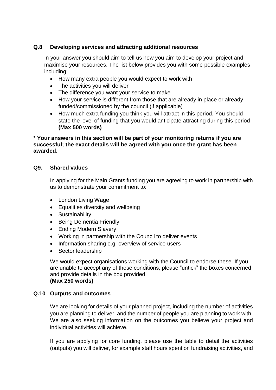# **Q.8 Developing services and attracting additional resources**

In your answer you should aim to tell us how you aim to develop your project and maximise your resources. The list below provides you with some possible examples including:

- How many extra people you would expect to work with
- The activities you will deliver
- The difference you want your service to make
- How your service is different from those that are already in place or already funded/commissioned by the council (if applicable)
- How much extra funding you think you will attract in this period. You should state the level of funding that you would anticipate attracting during this period **(Max 500 words)**

# **\* Your answers in this section will be part of your monitoring returns if you are successful; the exact details will be agreed with you once the grant has been awarded.**

# **Q9. Shared values**

In applying for the Main Grants funding you are agreeing to work in partnership with us to demonstrate your commitment to:

- London Living Wage
- Equalities diversity and wellbeing
- Sustainability
- Being Dementia Friendly
- Ending Modern Slavery
- Working in partnership with the Council to deliver events
- Information sharing e.g overview of service users
- Sector leadership

We would expect organisations working with the Council to endorse these. If you are unable to accept any of these conditions, please "untick" the boxes concerned and provide details in the box provided. **(Max 250 words)**

#### **Q.10 Outputs and outcomes**

We are looking for details of your planned project, including the number of activities you are planning to deliver, and the number of people you are planning to work with. We are also seeking information on the outcomes you believe your project and individual activities will achieve.

If you are applying for core funding, please use the table to detail the activities (outputs) you will deliver, for example staff hours spent on fundraising activities, and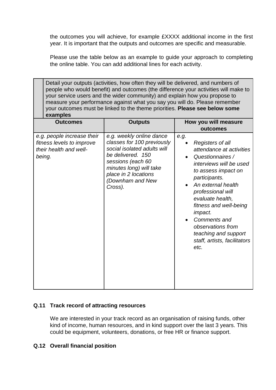the outcomes you will achieve, for example £XXXX additional income in the first year. It is important that the outputs and outcomes are specific and measurable.

Please use the table below as an example to guide your approach to completing the online table. You can add additional lines for each activity.

| Detail your outputs (activities, how often they will be delivered, and numbers of<br>people who would benefit) and outcomes (the difference your activities will make to<br>your service users and the wider community) and explain how you propose to<br>measure your performance against what you say you will do. Please remember<br>your outcomes must be linked to the theme priorities. Please see below some<br>examples |                                                                                                                                                                                                                   |                                                                                                                                                                                                                                                                                                                                                                          |  |  |
|---------------------------------------------------------------------------------------------------------------------------------------------------------------------------------------------------------------------------------------------------------------------------------------------------------------------------------------------------------------------------------------------------------------------------------|-------------------------------------------------------------------------------------------------------------------------------------------------------------------------------------------------------------------|--------------------------------------------------------------------------------------------------------------------------------------------------------------------------------------------------------------------------------------------------------------------------------------------------------------------------------------------------------------------------|--|--|
| <b>Outcomes</b>                                                                                                                                                                                                                                                                                                                                                                                                                 | <b>Outputs</b>                                                                                                                                                                                                    | How you will measure<br>outcomes                                                                                                                                                                                                                                                                                                                                         |  |  |
| e.g. people increase their<br>fitness levels to improve<br>their health and well-<br>being.                                                                                                                                                                                                                                                                                                                                     | e.g. weekly online dance<br>classes for 100 previously<br>social isolated adults will<br>be delivered. 150<br>sessions (each 60<br>minutes long) will take<br>place in 2 locations<br>(Downham and New<br>Cross). | e.g.<br>Registers of all<br>attendance at activities<br>Questionnaires /<br>$\bullet$<br>interviews will be used<br>to assess impact on<br>participants.<br>An external health<br>professional will<br>evaluate health,<br>fitness and well-being<br><i>impact.</i><br>Comments and<br>observations from<br>teaching and support<br>staff, artists, facilitators<br>etc. |  |  |

# **Q.11 Track record of attracting resources**

We are interested in your track record as an organisation of raising funds, other kind of income, human resources, and in kind support over the last 3 years. This could be equipment, volunteers, donations, or free HR or finance support.

# **Q.12 Overall financial position**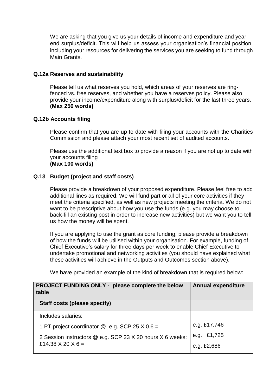We are asking that you give us your details of income and expenditure and year end surplus/deficit. This will help us assess your organisation's financial position, including your resources for delivering the services you are seeking to fund through Main Grants.

#### **Q.12a Reserves and sustainability**

Please tell us what reserves you hold, which areas of your reserves are ringfenced vs. free reserves, and whether you have a reserves policy. Please also provide your income/expenditure along with surplus/deficit for the last three years. **(Max 250 words)**

# **Q.12b Accounts filing**

Please confirm that you are up to date with filing your accounts with the Charities Commission and please attach your most recent set of audited accounts.

Please use the additional text box to provide a reason if you are not up to date with your accounts filing **(Max 100 words)**

# **Q.13 Budget (project and staff costs)**

Please provide a breakdown of your proposed expenditure. Please feel free to add additional lines as required. We will fund part or all of your core activities if they meet the criteria specified, as well as new projects meeting the criteria. We do not want to be prescriptive about how you use the funds (e.g. you may choose to back-fill an existing post in order to increase new activities) but we want you to tell us how the money will be spent.

If you are applying to use the grant as core funding, please provide a breakdown of how the funds will be utilised within your organisation. For example, funding of Chief Executive's salary for three days per week to enable Chief Executive to undertake promotional and networking activities (you should have explained what these activities will achieve in the Outputs and Outcomes section above).

We have provided an example of the kind of breakdown that is required below:

| PROJECT FUNDING ONLY - please complete the below<br>table | <b>Annual expenditure</b> |
|-----------------------------------------------------------|---------------------------|
| Staff costs (please specify)                              |                           |
| Includes salaries:                                        |                           |
| 1 PT project coordinator $@$ e.g. SCP 25 X 0.6 =          | e.g. £17,746              |
| 2 Session instructors @ e.g. SCP 23 X 20 hours X 6 weeks: | e.g. £1,725               |
| £14.38 $\times$ 20 $\times$ 6 =                           | e.g. £2,686               |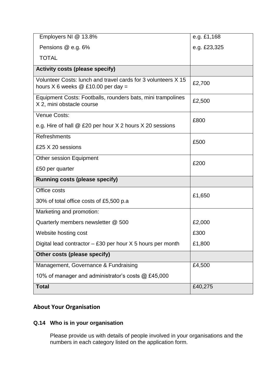| Employers NI @ 13.8%                                                                                    | e.g. £1,168  |
|---------------------------------------------------------------------------------------------------------|--------------|
| Pensions @ e.g. 6%                                                                                      | e.g. £23,325 |
| <b>TOTAL</b>                                                                                            |              |
| <b>Activity costs (please specify)</b>                                                                  |              |
| Volunteer Costs: lunch and travel cards for 3 volunteers X 15<br>hours $X$ 6 weeks $@$ £10.00 per day = | £2,700       |
| Equipment Costs: Footballs, rounders bats, mini trampolines<br>X 2, mini obstacle course                | £2,500       |
| Venue Costs:                                                                                            | £800         |
| e.g. Hire of hall @ £20 per hour X 2 hours X 20 sessions                                                |              |
| <b>Refreshments</b>                                                                                     | £500         |
| £25 X 20 sessions                                                                                       |              |
| <b>Other session Equipment</b>                                                                          |              |
| £50 per quarter                                                                                         | £200         |
| <b>Running costs (please specify)</b>                                                                   |              |
| Office costs                                                                                            |              |
| 30% of total office costs of £5,500 p.a.                                                                | £1,650       |
| Marketing and promotion:                                                                                |              |
| Quarterly members newsletter @ 500                                                                      | £2,000       |
| Website hosting cost                                                                                    | £300         |
| Digital lead contractor $-$ £30 per hour $X$ 5 hours per month                                          | £1,800       |
| Other costs (please specify)                                                                            |              |
| Management, Governance & Fundraising                                                                    | £4,500       |
| 10% of manager and administrator's costs @ £45,000                                                      |              |
| <b>Total</b>                                                                                            | £40,275      |

# **About Your Organisation**

# **Q.14 Who is in your organisation**

Please provide us with details of people involved in your organisations and the numbers in each category listed on the application form.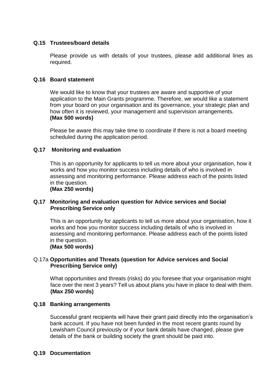# **Q.15 Trustees/board details**

Please provide us with details of your trustees, please add additional lines as required.

#### **Q.16 Board statement**

We would like to know that your trustees are aware and supportive of your application to the Main Grants programme. Therefore, we would like a statement from your board on your organisation and its governance, your strategic plan and how often it is reviewed, your management and supervision arrangements. **(Max 500 words)**

Please be aware this may take time to coordinate if there is not a board meeting scheduled during the application period.

#### **Q.17 Monitoring and evaluation**

This is an opportunity for applicants to tell us more about your organisation, how it works and how you monitor success including details of who is involved in assessing and monitoring performance. Please address each of the points listed in the question.

**(Max 250 words)**

#### **Q.17 Monitoring and evaluation question for Advice services and Social Prescribing Service only**

This is an opportunity for applicants to tell us more about your organisation, how it works and how you monitor success including details of who is involved in assessing and monitoring performance. Please address each of the points listed in the question.

#### **(Max 500 words)**

# Q.17a **Opportunities and Threats (question for Advice services and Social Prescribing Service only)**

What opportunities and threats (risks) do you foresee that your organisation might face over the next 3 years? Tell us about plans you have in place to deal with them. **(Max 250 words)**

#### **Q.18 Banking arrangements**

Successful grant recipients will have their grant paid directly into the organisation's bank account. If you have not been funded in the most recent grants round by Lewisham Council previously or if your bank details have changed, please give details of the bank or building society the grant should be paid into.

### **Q.19 Documentation**